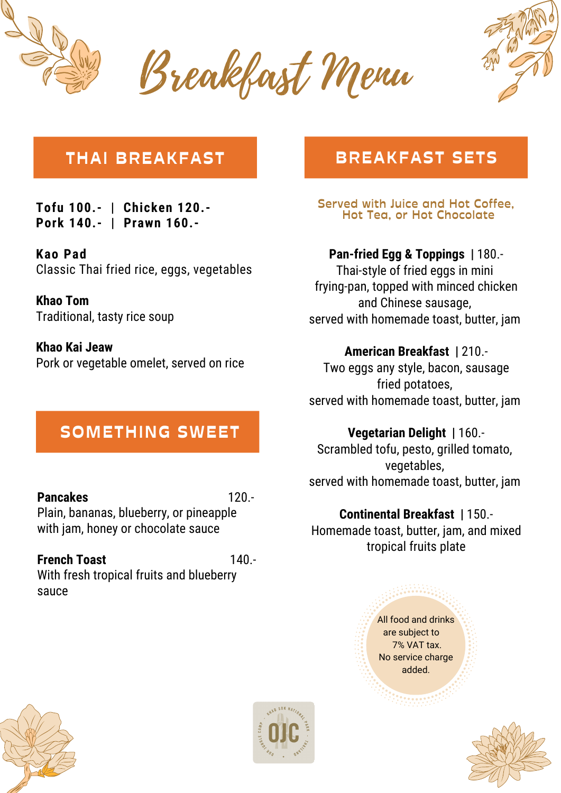

Breakfast Menu



## **THAI BREAKFAST**

**Tofu 100.- | Chicken 120.- Pork 140.- | Prawn 160.-**

**Kao Pad** Classic Thai fried rice, eggs, vegetables

**Khao Tom** Traditional, tasty rice soup

**Khao Kai Jeaw** Pork or vegetable omelet, served on rice

## **SOMETHING SWEET**

**Pancakes** 120.- Plain, bananas, blueberry, or pineapple with jam, honey or chocolate sauce

### **French Toast** 140.-

With fresh tropical fruits and blueberry sauce

## **BREAKFAST SETS**

**Served with Juice and Hot Coffee, Hot Tea, or Hot Chocolate**

**Pan-fried Egg & Toppings |** 180.- Thai-style of fried eggs in mini frying-pan, topped with minced chicken

and Chinese sausage, served with homemade toast, butter, jam

#### **American Breakfast |** 210.-

Two eggs any style, bacon, sausage fried potatoes, served with homemade toast, butter, jam

### **Vegetarian Delight |** 160.-

Scrambled tofu, pesto, grilled tomato, vegetables, served with homemade toast, butter, jam

## **Continental Breakfast |** 150.-

Homemade toast, butter, jam, and mixed tropical fruits plate

#### All food and drinks are subject to 7% VAT tax. No service charge added.